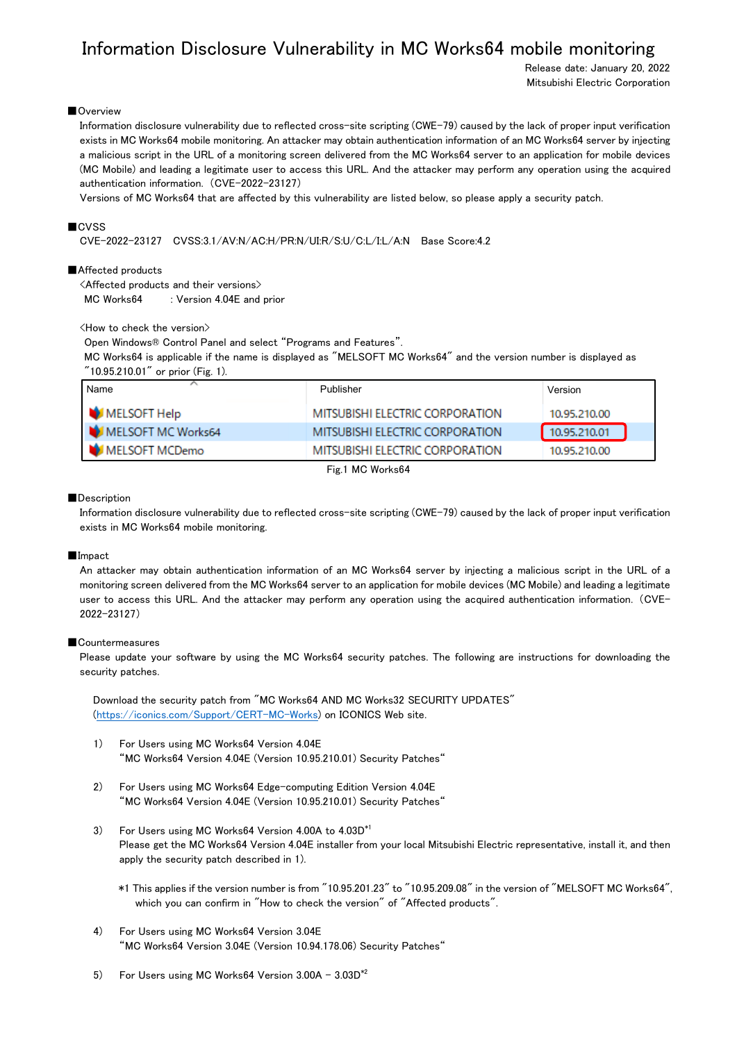# Information Disclosure Vulnerability in MC Works64 mobile monitoring

Release date: January 20, 2022 Mitsubishi Electric Corporation

# ■Overview

Information disclosure vulnerability due to reflected cross-site scripting (CWE-79) caused by the lack of proper input verification exists in MC Works64 mobile monitoring. An attacker may obtain authentication information of an MC Works64 server by injecting a malicious script in the URL of a monitoring screen delivered from the MC Works64 server to an application for mobile devices (MC Mobile) and leading a legitimate user to access this URL. And the attacker may perform any operation using the acquired authentication information. (CVE-2022-23127)

Versions of MC Works64 that are affected by this vulnerability are listed below, so please apply a security patch.

## ■CVSS

CVE-2022-23127 CVSS:3.1/AV:N/AC:H/PR:N/UI:R/S:U/C:L/I:L/A:N Base Score:4.2

## ■Affected products

<Affected products and their versions>

MC Works64 : Version 4.04E and prior

## <How to check the version>

Open Windows® Control Panel and select "Programs and Features".

MC Works64 is applicable if the name is displayed as "MELSOFT MC Works64" and the version number is displayed as "10.95.210.01" or prior (Fig. 1).

| Name               | Publisher                       | Version      |
|--------------------|---------------------------------|--------------|
| MELSOFT Help       | MITSUBISHI ELECTRIC CORPORATION | 10.95.210.00 |
| MELSOFT MC Works64 | MITSUBISHI ELECTRIC CORPORATION | 10.95.210.01 |
| MELSOFT MCDemo     | MITSUBISHI ELECTRIC CORPORATION | 10.95.210.00 |

Fig.1 MC Works64

#### ■Description

Information disclosure vulnerability due to reflected cross-site scripting (CWE-79) caused by the lack of proper input verification exists in MC Works64 mobile monitoring.

### ■Impact

An attacker may obtain authentication information of an MC Works64 server by injecting a malicious script in the URL of a monitoring screen delivered from the MC Works64 server to an application for mobile devices (MC Mobile) and leading a legitimate user to access this URL. And the attacker may perform any operation using the acquired authentication information. (CVE-2022-23127)

## ■Countermeasures

Please update your software by using the MC Works64 security patches. The following are instructions for downloading the security patches.

Download the security patch from "MC Works64 AND MC Works32 SECURITY UPDATES" [\(https://iconics.com/Support/CERT-MC-Works\)](https://iconics.com/Support/CERT-MC-Works) on ICONICS Web site.

- 1) For Users using MC Works64 Version 4.04E "MC Works64 Version 4.04E (Version 10.95.210.01) Security Patches"
- 2) For Users using MC Works64 Edge-computing Edition Version 4.04E "MC Works64 Version 4.04E (Version 10.95.210.01) Security Patches"
- 3) For Users using MC Works64 Version 4.00A to 4.03D\*1 Please get the MC Works64 Version 4.04E installer from your local Mitsubishi Electric representative, install it, and then apply the security patch described in 1).
	- \*1 This applies if the version number is from "10.95.201.23" to "10.95.209.08" in the version of "MELSOFT MC Works64", which you can confirm in "How to check the version" of "Affected products".
- 4) For Users using MC Works64 Version 3.04E "MC Works64 Version 3.04E (Version 10.94.178.06) Security Patches"
- 5) For Users using MC Works64 Version  $3.00A 3.03D^{*2}$